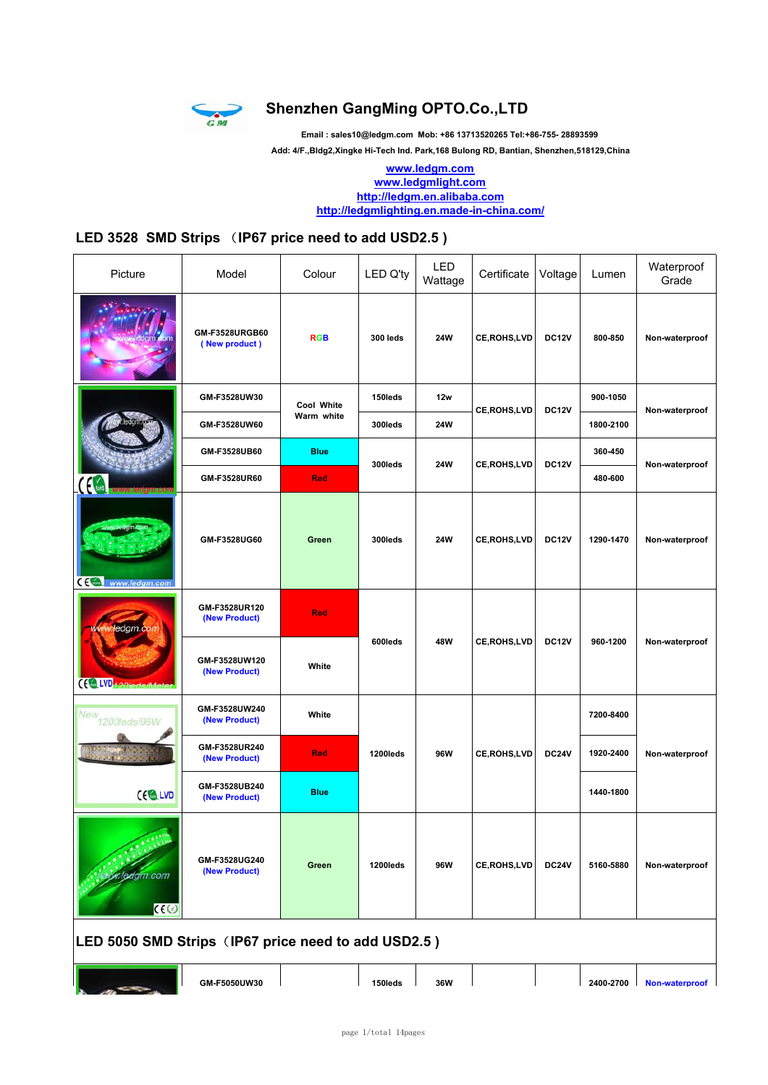

### **Shenzhen GangMing OPTO.Co.,LTD**

**Email : sales10@ledgm.com Mob: +86 13713520265 Tel:+86-755- 28893599**

 **Add: 4/F.,Bldg2,Xingke Hi-Tech Ind. Park,168 Bulong RD, Bantian, Shenzhen,518129,China**

**www.ledgm.com www.ledgmlight.com http://ledgm.en.alibaba.com http://ledgmlighting.en.made-in-china.com/**

### **LED 3528 SMD Strips** (**IP67 price need to add USD2.5 )**

| Picture                                             | Model                           | Colour      | <b>LED Q'ty</b> | LED<br>Wattage | Certificate        | Voltage      | Lumen     | Waterproof<br>Grade |  |  |
|-----------------------------------------------------|---------------------------------|-------------|-----------------|----------------|--------------------|--------------|-----------|---------------------|--|--|
|                                                     | GM-F3528URGB60<br>(New product) | <b>RGB</b>  | <b>300 leds</b> | <b>24W</b>     | <b>CE,ROHS,LVD</b> | <b>DC12V</b> | 800-850   | Non-waterproof      |  |  |
|                                                     | GM-F3528UW30                    | Cool White  | 150leds         | 12w            |                    | <b>DC12V</b> | 900-1050  | Non-waterproof      |  |  |
|                                                     | GM-F3528UW60                    | Warm white  | 300leds         | 24W            | <b>CE,ROHS,LVD</b> |              | 1800-2100 |                     |  |  |
|                                                     | GM-F3528UB60                    | <b>Blue</b> | 300leds         | 24W            | CE, ROHS, LVD      | <b>DC12V</b> | 360-450   | Non-waterproof      |  |  |
|                                                     | GM-F3528UR60                    | <b>Red</b>  |                 |                |                    |              | 480-600   |                     |  |  |
| CE www.ledgm.com                                    | GM-F3528UG60                    | Green       | 300leds         | 24W            | <b>CE,ROHS,LVD</b> | <b>DC12V</b> | 1290-1470 | Non-waterproof      |  |  |
| ww.ledgm.cor                                        | GM-F3528UR120<br>(New Product)  | <b>Red</b>  | 600leds         | 48W            |                    |              |           |                     |  |  |
| (CaLVD <sub>420leds/Met</sub>                       | GM-F3528UW120<br>(New Product)  | White       |                 |                | <b>CE,ROHS,LVD</b> | <b>DC12V</b> | 960-1200  | Non-waterproof      |  |  |
| New<br>1200leds/96W                                 | GM-F3528UW240<br>(New Product)  | White       |                 |                |                    |              | 7200-8400 |                     |  |  |
|                                                     | GM-F3528UR240<br>(New Product)  | <b>Red</b>  | 1200leds        | 96W            | <b>CE,ROHS,LVD</b> | <b>DC24V</b> | 1920-2400 | Non-waterproof      |  |  |
| CE LVD                                              | GM-F3528UB240<br>(New Product)  | <b>Blue</b> |                 |                |                    |              | 1440-1800 |                     |  |  |
| <i><b>x.leagm.com</b></i><br>C <sub>0</sub>         | GM-F3528UG240<br>(New Product)  | Green       | 1200leds        | 96W            | CE, ROHS, LVD      | <b>DC24V</b> | 5160-5880 | Non-waterproof      |  |  |
| LED 5050 SMD Strips (IP67 price need to add USD2.5) |                                 |             |                 |                |                    |              |           |                     |  |  |
|                                                     | GM-F5050UW30                    |             | 150leds         | 36W            |                    |              | 2400-2700 | Non-waterproof      |  |  |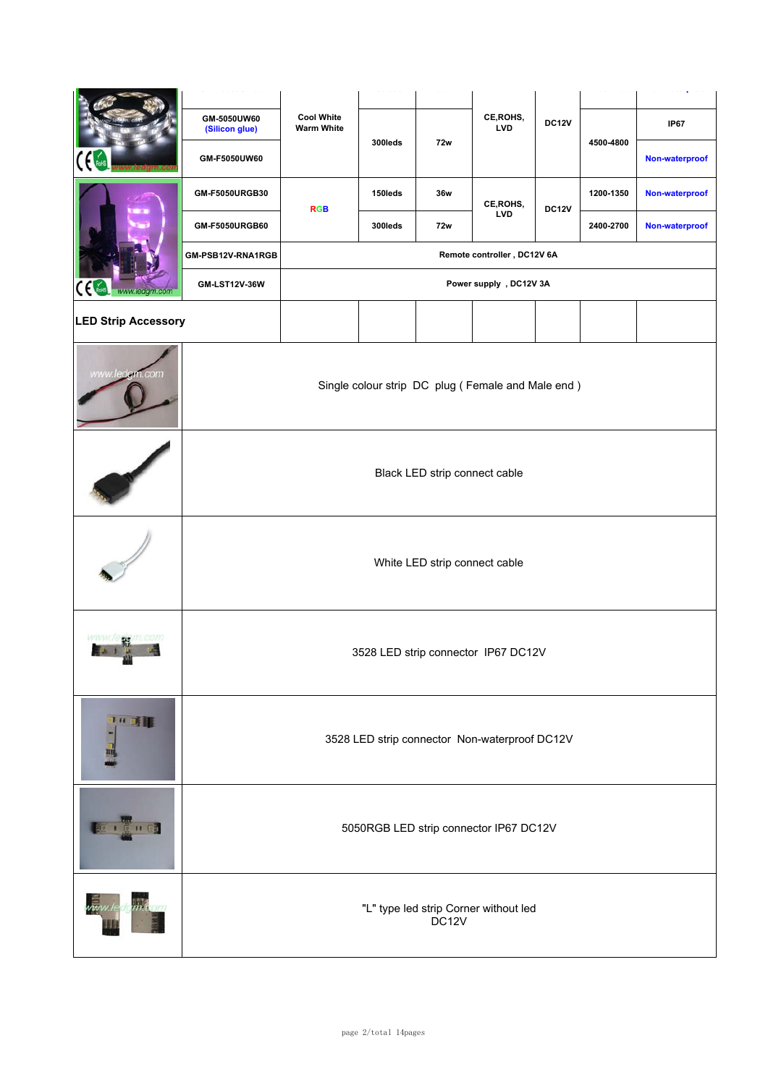|                            | GM-5050UW60<br>(Silicon glue)          | <b>Cool White</b><br><b>Warm White</b>                     | 300leds | 72w                           | CE, ROHS,<br><b>LVD</b>                       | <b>DC12V</b> | 4500-4800 | <b>IP67</b>    |  |  |
|----------------------------|----------------------------------------|------------------------------------------------------------|---------|-------------------------------|-----------------------------------------------|--------------|-----------|----------------|--|--|
|                            | GM-F5050UW60                           |                                                            |         |                               |                                               |              |           | Non-waterproof |  |  |
|                            | GM-F5050URGB30                         | <b>RGB</b>                                                 | 150leds | 36w                           | CE, ROHS,                                     | <b>DC12V</b> | 1200-1350 | Non-waterproof |  |  |
|                            | GM-F5050URGB60                         |                                                            | 300leds | 72w                           | <b>LVD</b>                                    |              | 2400-2700 | Non-waterproof |  |  |
|                            | GM-PSB12V-RNA1RGB                      | Remote controller, DC12V 6A                                |         |                               |                                               |              |           |                |  |  |
| Ćξ<br>www.ledgm.com        | GM-LST12V-36W                          |                                                            |         |                               | Power supply, DC12V 3A                        |              |           |                |  |  |
| <b>LED Strip Accessory</b> |                                        |                                                            |         |                               |                                               |              |           |                |  |  |
| ww.ledam.com               |                                        | Single colour strip DC plug (Female and Male end)          |         |                               |                                               |              |           |                |  |  |
|                            | Black LED strip connect cable          |                                                            |         |                               |                                               |              |           |                |  |  |
|                            |                                        |                                                            |         | White LED strip connect cable |                                               |              |           |                |  |  |
|                            |                                        |                                                            |         |                               | 3528 LED strip connector IP67 DC12V           |              |           |                |  |  |
| 11 或图                      |                                        |                                                            |         |                               | 3528 LED strip connector Non-waterproof DC12V |              |           |                |  |  |
| 0.110                      | 5050RGB LED strip connector IP67 DC12V |                                                            |         |                               |                                               |              |           |                |  |  |
|                            |                                        | "L" type led strip Corner without led<br>DC <sub>12V</sub> |         |                               |                                               |              |           |                |  |  |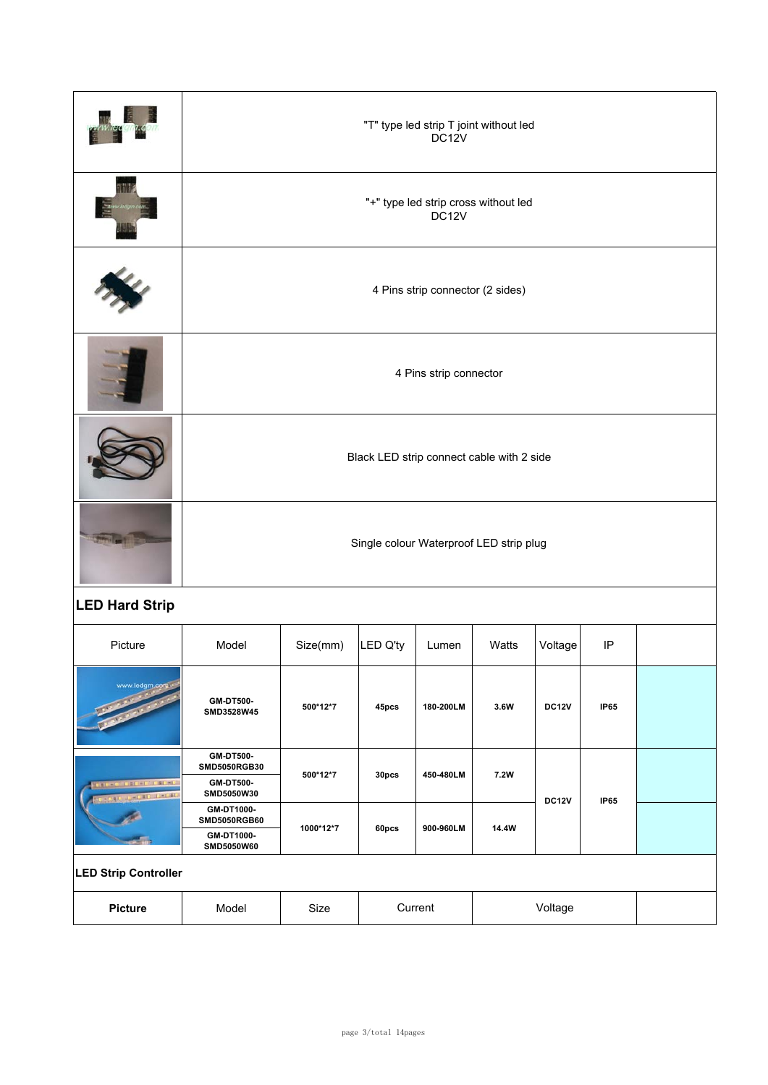|                                                |                                         | "T" type led strip T joint without led<br>DC <sub>12V</sub> |          |           |       |              |             |  |  |  |  |  |
|------------------------------------------------|-----------------------------------------|-------------------------------------------------------------|----------|-----------|-------|--------------|-------------|--|--|--|--|--|
|                                                |                                         | "+" type led strip cross without led<br>DC <sub>12V</sub>   |          |           |       |              |             |  |  |  |  |  |
|                                                |                                         | 4 Pins strip connector (2 sides)                            |          |           |       |              |             |  |  |  |  |  |
|                                                |                                         | 4 Pins strip connector                                      |          |           |       |              |             |  |  |  |  |  |
|                                                |                                         | Black LED strip connect cable with 2 side                   |          |           |       |              |             |  |  |  |  |  |
|                                                | Single colour Waterproof LED strip plug |                                                             |          |           |       |              |             |  |  |  |  |  |
| <b>LED Hard Strip</b>                          |                                         |                                                             |          |           |       |              |             |  |  |  |  |  |
| Picture                                        | Model                                   | Size(mm)                                                    | LED Q'ty | Lumen     | Watts | Voltage      | IP          |  |  |  |  |  |
| www.ledgm.com                                  | GM-DT500-<br>SMD3528W45                 | 500*12*7                                                    | 45pcs    | 180-200LM | 3.6W  | <b>DC12V</b> | <b>IP65</b> |  |  |  |  |  |
|                                                | GM-DT500-<br>SMD5050RGB30               | 500*12*7                                                    | $30pc$ s | 450-480LM | 7.2W  |              |             |  |  |  |  |  |
| <b>AD' DECKE CALME</b><br><b>JUNEAU DELINE</b> | GM-DT500-<br>SMD5050W30                 |                                                             |          |           |       | <b>DC12V</b> | <b>IP65</b> |  |  |  |  |  |
|                                                | GM-DT1000-<br>SMD5050RGB60              | 1000*12*7                                                   | 60pcs    | 900-960LM | 14.4W |              |             |  |  |  |  |  |
|                                                | GM-DT1000-<br>SMD5050W60                |                                                             |          |           |       |              |             |  |  |  |  |  |
| <b>LED Strip Controller</b>                    |                                         |                                                             |          |           |       |              |             |  |  |  |  |  |
| <b>Picture</b>                                 | Model                                   | Size                                                        |          | Current   |       | Voltage      |             |  |  |  |  |  |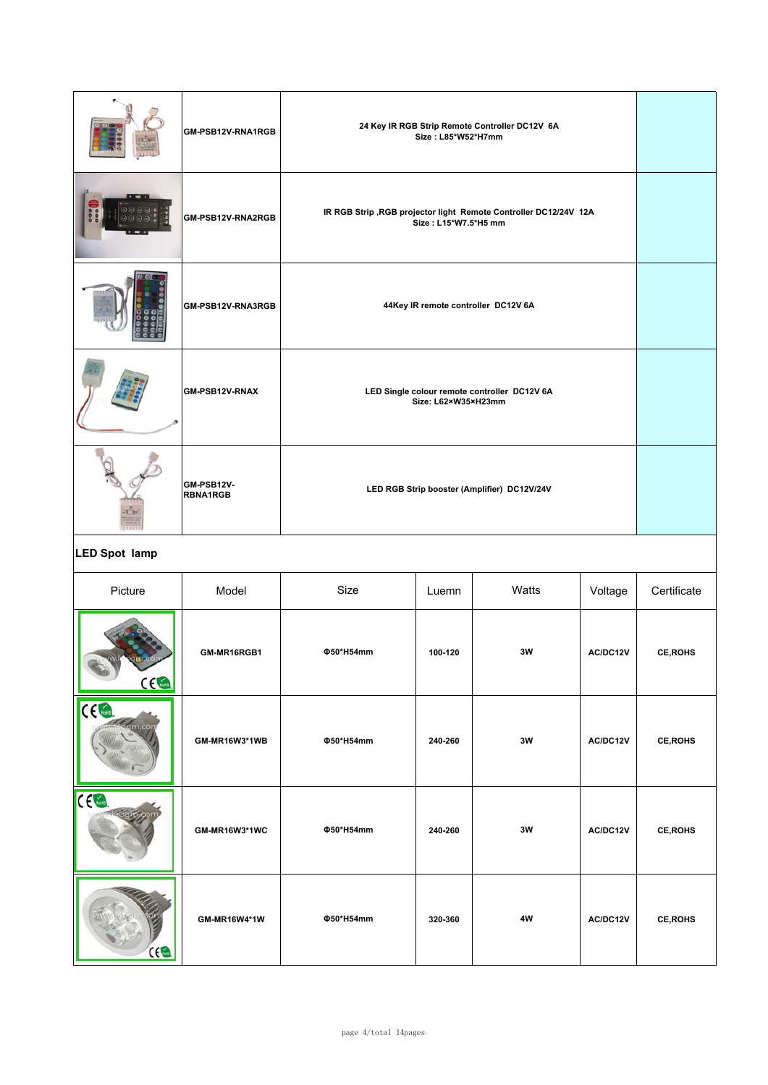| GM-PSB12V-RNA1RGB             | 24 Key IR RGB Strip Remote Controller DC12V 6A<br>Size: L85*W52*H7mm                      |  |
|-------------------------------|-------------------------------------------------------------------------------------------|--|
| GM-PSB12V-RNA2RGB             | IR RGB Strip , RGB projector light Remote Controller DC12/24V 12A<br>Size: L15*W7.5*H5 mm |  |
| GM-PSB12V-RNA3RGB             | 44Key IR remote controller DC12V 6A                                                       |  |
| <b>GM-PSB12V-RNAX</b>         | LED Single colour remote controller DC12V 6A<br>Size: L62×W35×H23mm                       |  |
| GM-PSB12V-<br><b>RBNA1RGB</b> | LED RGB Strip booster (Amplifier) DC12V/24V                                               |  |

### **LED Spot lamp**

| Picture                  | Model         | Size      | Watts<br>Luemn |    | Voltage  | Certificate     |
|--------------------------|---------------|-----------|----------------|----|----------|-----------------|
| $C \epsilon$             | GM-MR16RGB1   | Φ50*H54mm | 100-120        | 3W |          | <b>CE, ROHS</b> |
| C <sub>6</sub><br>am.cor | GM-MR16W3*1WB | Φ50*H54mm | 240-260        | 3W | AC/DC12V | <b>CE, ROHS</b> |
| CE Cons                  | GM-MR16W3*1WC | Φ50*H54mm | 240-260        | 3W | AC/DC12V | <b>CE, ROHS</b> |
| C(1)                     | GM-MR16W4*1W  | Φ50*H54mm | 320-360        | 4W | AC/DC12V | <b>CE, ROHS</b> |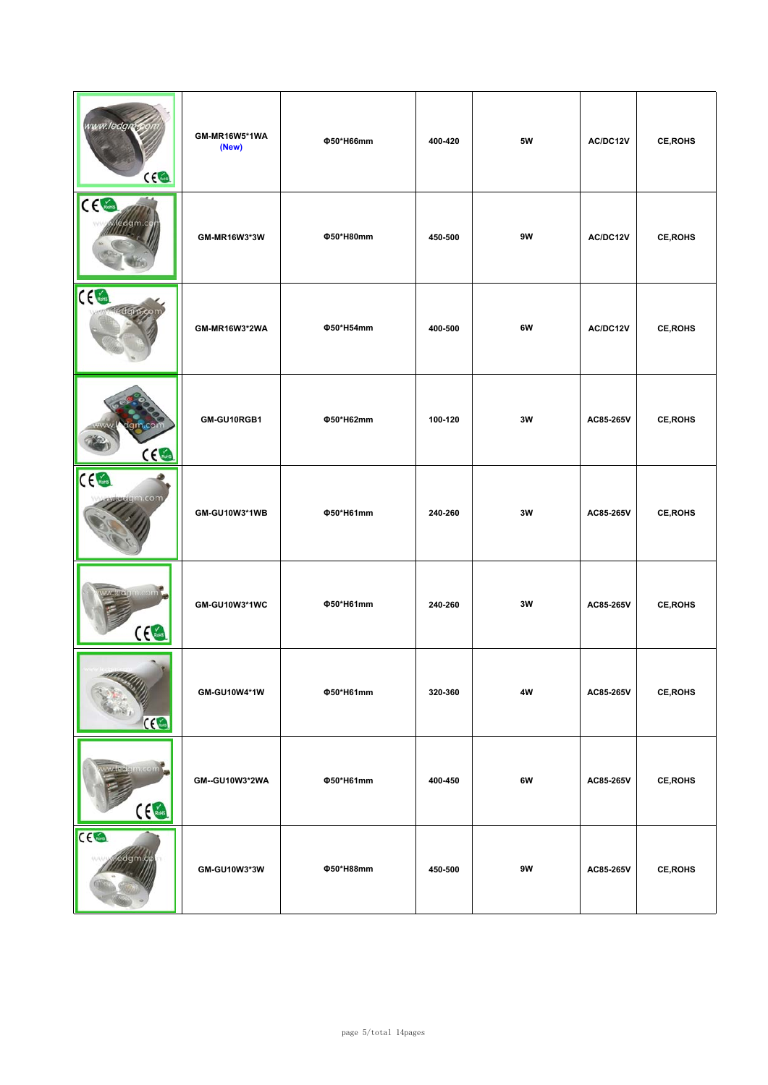| www.ledgms<br>ce                           | GM-MR16W5*1WA<br>(New) | Φ50*H66mm | 400-420 | 5W | AC/DC12V  | <b>CE, ROHS</b> |
|--------------------------------------------|------------------------|-----------|---------|----|-----------|-----------------|
| CE                                         | GM-MR16W3*3W           | Φ50*H80mm | 450-500 | 9W | AC/DC12V  | <b>CE, ROHS</b> |
| $C \left( \frac{1}{\text{Roulli}} \right)$ | GM-MR16W3*2WA          | Φ50*H54mm | 400-500 | 6W | AC/DC12V  | CE, ROHS        |
| m.co<br>CE                                 | GM-GU10RGB1            | Φ50*H62mm | 100-120 | 3W | AC85-265V | <b>CE, ROHS</b> |
| $C \in \mathbb{R}$<br>.com                 | GM-GU10W3*1WB          | Φ50*H61mm | 240-260 | 3W | AC85-265V | <b>CE, ROHS</b> |
| $c \in \mathbb{R}$                         | GM-GU10W3*1WC          | Φ50*H61mm | 240-260 | 3W | AC85-265V | <b>CE, ROHS</b> |
| <b>CEG</b>                                 | GM-GU10W4*1W           | Φ50*H61mm | 320-360 | 4W | AC85-265V | CE, ROHS        |
| widen com<br>C <sub>6</sub>                | GM--GU10W3*2WA         | Φ50*H61mm | 400-450 | 6W | AC85-265V | CE, ROHS        |
| CE<br>ledgm.go                             | GM-GU10W3*3W           | Φ50*H88mm | 450-500 | 9W | AC85-265V | CE, ROHS        |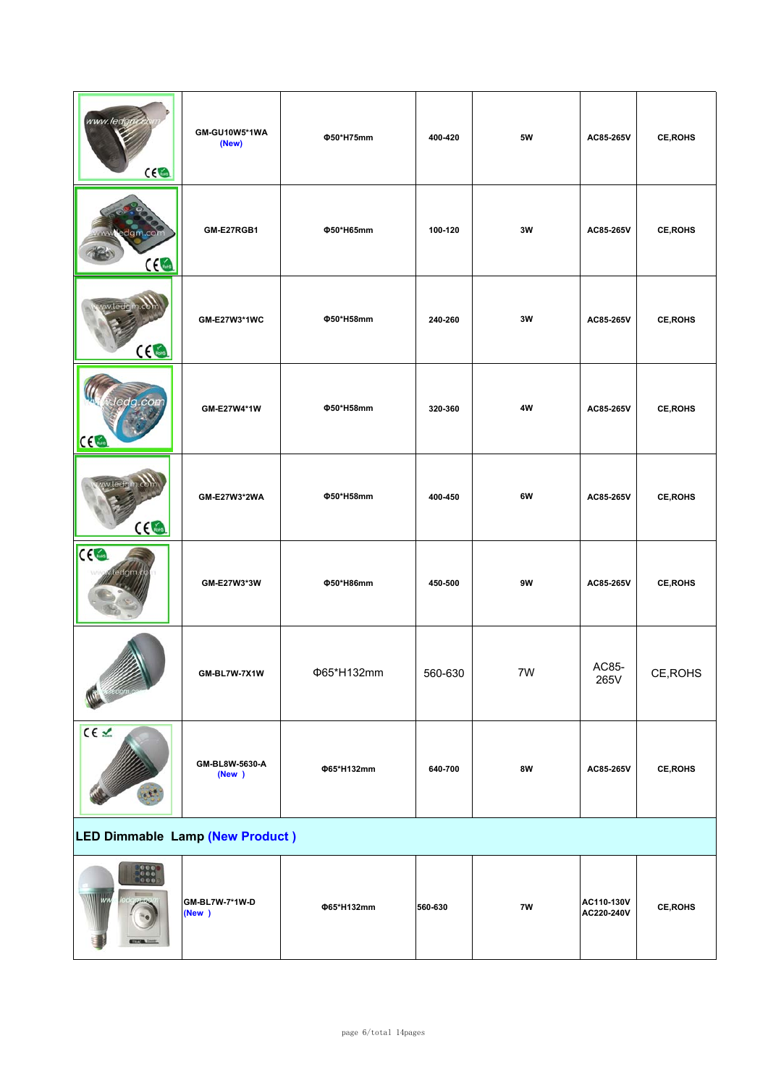| www.ledgo<br>ce                                                                 | GM-GU10W5*1WA<br>(New)   | Φ50*H75mm  | 400-420 | 5W        | AC85-265V                | <b>CE, ROHS</b> |
|---------------------------------------------------------------------------------|--------------------------|------------|---------|-----------|--------------------------|-----------------|
| edgm.com<br>ce                                                                  | GM-E27RGB1               | Φ50*H65mm  | 100-120 | 3W        | AC85-265V                | <b>CE, ROHS</b> |
| $C \in \mathbb{R}$                                                              | GM-E27W3*1WC             | Φ50*H58mm  | 240-260 | 3W        | AC85-265V                | <b>CE, ROHS</b> |
| CC                                                                              | GM-E27W4*1W              | Φ50*H58mm  | 320-360 | 4W        | AC85-265V                | <b>CE, ROHS</b> |
| $C \in \mathbb{R}$                                                              | GM-E27W3*2WA             | Φ50*H58mm  | 400-450 | 6W        | AC85-265V                | <b>CE, ROHS</b> |
| CC <sub>1</sub><br>dam                                                          | GM-E27W3*3W              | Φ50*H86mm  | 450-500 | 9W        | AC85-265V                | <b>CE, ROHS</b> |
|                                                                                 | GM-BL7W-7X1W             | Φ65*H132mm | 560-630 | 7W        | AC85-<br>265V            | CE, ROHS        |
| CE L                                                                            | GM-BL8W-5630-A<br>(New ) | Φ65*H132mm | 640-700 | <b>8W</b> | AC85-265V                | CE, ROHS        |
| LED Dimmable Lamp (New Product)                                                 |                          |            |         |           |                          |                 |
| $\begin{array}{ c c }\hline 0&0&0\cr 0&0&0\cr\hline 0&0&0\cr\hline \end{array}$ | GM-BL7W-7*1W-D<br>(New ) | Φ65*H132mm | 560-630 | 7W        | AC110-130V<br>AC220-240V | <b>CE, ROHS</b> |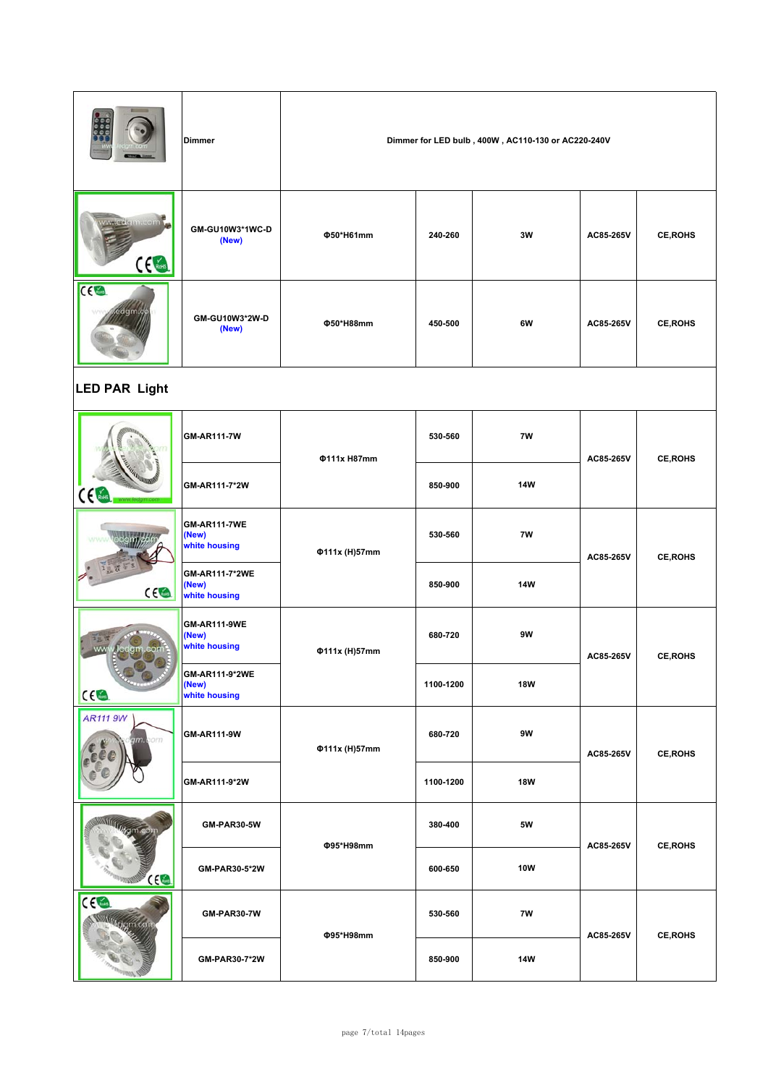|                                                   | <b>Dimmer</b>                                 | Dimmer for LED bulb, 400W, AC110-130 or AC220-240V |               |               |           |                 |  |  |  |  |
|---------------------------------------------------|-----------------------------------------------|----------------------------------------------------|---------------|---------------|-----------|-----------------|--|--|--|--|
| <b>Metazeleissikkolas</b><br>$C \n\in \mathbb{R}$ | GM-GU10W3*1WC-D<br>(New)                      | Φ50*H61mm                                          | 240-260       | 3W            | AC85-265V | <b>CE, ROHS</b> |  |  |  |  |
| CC <sub>6</sub>                                   | GM-GU10W3*2W-D<br>(New)                       | Φ50*H88mm                                          | 450-500       | 6W            | AC85-265V | <b>CE, ROHS</b> |  |  |  |  |
| <b>LED PAR Light</b>                              |                                               |                                                    |               |               |           |                 |  |  |  |  |
|                                                   | GM-AR111-7W                                   | <b>Φ111x H87mm</b>                                 | 530-560       | 7W            | AC85-265V | <b>CE, ROHS</b> |  |  |  |  |
| $\overline{\mathbf{C}}$                           | GM-AR111-7*2W                                 |                                                    | 850-900       | 14W           |           |                 |  |  |  |  |
|                                                   | <b>GM-AR111-7WE</b><br>(New)<br>white housing | Φ111x (H)57mm                                      | 7W<br>530-560 |               | AC85-265V | <b>CE, ROHS</b> |  |  |  |  |
| CE                                                | GM-AR111-7*2WE<br>(New)<br>white housing      |                                                    | 850-900       | <b>14W</b>    |           |                 |  |  |  |  |
| ww<br>Jedgm.con                                   | <b>GM-AR111-9WE</b><br>(New)<br>white housing | Φ111x (H)57mm                                      | 680-720       | 9W            | AC85-265V | <b>CE, ROHS</b> |  |  |  |  |
| CE                                                | GM-AR111-9*2WE<br>(New)<br>white housing      |                                                    | 1100-1200     | <b>18W</b>    |           |                 |  |  |  |  |
| <b>AR111 9W</b><br>am com                         | GM-AR111-9W                                   | Φ111x (H)57mm                                      | 680-720       | 9W            | AC85-265V | <b>CE, ROHS</b> |  |  |  |  |
|                                                   | GM-AR111-9*2W                                 |                                                    | 1100-1200     | <b>18W</b>    |           |                 |  |  |  |  |
|                                                   | GM-PAR30-5W                                   |                                                    | 380-400       | 5W            |           |                 |  |  |  |  |
| $\Omega$                                          | GM-PAR30-5*2W                                 | Φ95*H98mm                                          | 600-650       | 10W           | AC85-265V | CE, ROHS        |  |  |  |  |
| CC <sub>6</sub>                                   | GM-PAR30-7W                                   |                                                    |               | $7\mathsf{W}$ |           | <b>CE, ROHS</b> |  |  |  |  |
|                                                   | GM-PAR30-7*2W                                 | Φ95*H98mm                                          | 850-900       | <b>14W</b>    | AC85-265V |                 |  |  |  |  |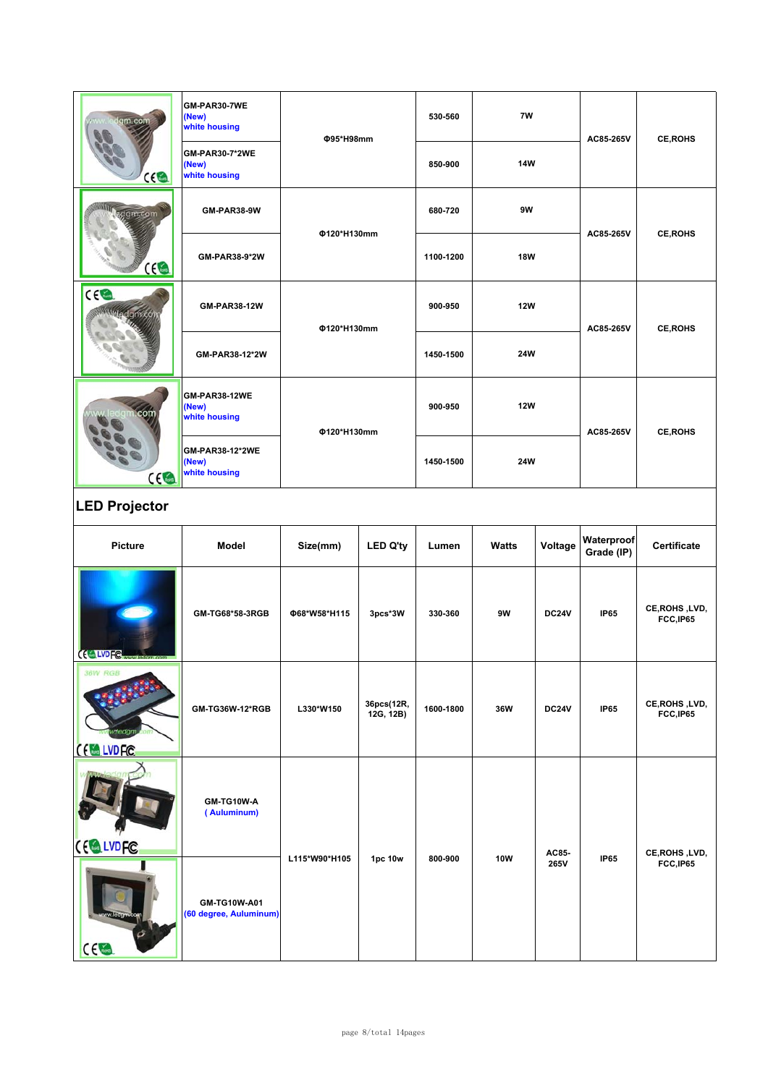| GM-PAR30-7WE<br>(New)<br>white housing          | 530-560                                                       | 7W         |  | <b>CE, ROHS</b>                                  |
|-------------------------------------------------|---------------------------------------------------------------|------------|--|--------------------------------------------------|
| <b>GM-PAR30-7*2WE</b><br>(New)<br>white housing | 850-900                                                       | <b>14W</b> |  |                                                  |
| GM-PAR38-9W                                     | 680-720                                                       | 9W         |  | <b>CE, ROHS</b>                                  |
| GM-PAR38-9*2W                                   | 1100-1200                                                     | <b>18W</b> |  |                                                  |
| GM-PAR38-12W                                    | 900-950                                                       | <b>12W</b> |  | <b>CE, ROHS</b>                                  |
| GM-PAR38-12*2W                                  | 1450-1500                                                     | 24W        |  |                                                  |
| GM-PAR38-12WE<br>(New)<br>white housing         | 900-950                                                       | <b>12W</b> |  | <b>CE, ROHS</b>                                  |
| GM-PAR38-12*2WE<br>(New)<br>white housing       | 1450-1500                                                     | <b>24W</b> |  |                                                  |
|                                                 | <b>Φ95*H98mm</b><br>Φ120*H130mm<br>Φ120*H130mm<br>Φ120*H130mm |            |  | AC85-265V<br>AC85-265V<br>AC85-265V<br>AC85-265V |

# **LED Projector**

| Picture                           | Model                                  | Size(mm)      | <b>LED Q'ty</b>         | Lumen     | <b>Watts</b> | Voltage      | Waterproof<br>Grade (IP) | Certificate                 |
|-----------------------------------|----------------------------------------|---------------|-------------------------|-----------|--------------|--------------|--------------------------|-----------------------------|
| (ELVDFC www.com                   | GM-TG68*58-3RGB                        | Φ68*W58*H115  | 3pcs*3W                 | 330-360   | 9W           | <b>DC24V</b> | <b>IP65</b>              | CE, ROHS, LVD,<br>FCC, IP65 |
| <b>36W RGB</b><br><b>EXALVDFC</b> | GM-TG36W-12*RGB                        | L330*W150     | 36pcs(12R,<br>12G, 12B) | 1600-1800 | 36W          | <b>DC24V</b> | <b>IP65</b>              | CE, ROHS, LVD,<br>FCC, IP65 |
| CE LVDFC                          | GM-TG10W-A<br>(Auluminum)              |               |                         |           |              | AC85-        |                          | CE, ROHS, LVD,              |
| $C \in \mathbb{R}$                | GM-TG10W-A01<br>(60 degree, Auluminum) | L115*W90*H105 | 1pc 10w                 | 800-900   | <b>10W</b>   | 265V         | <b>IP65</b>              | FCC,IP65                    |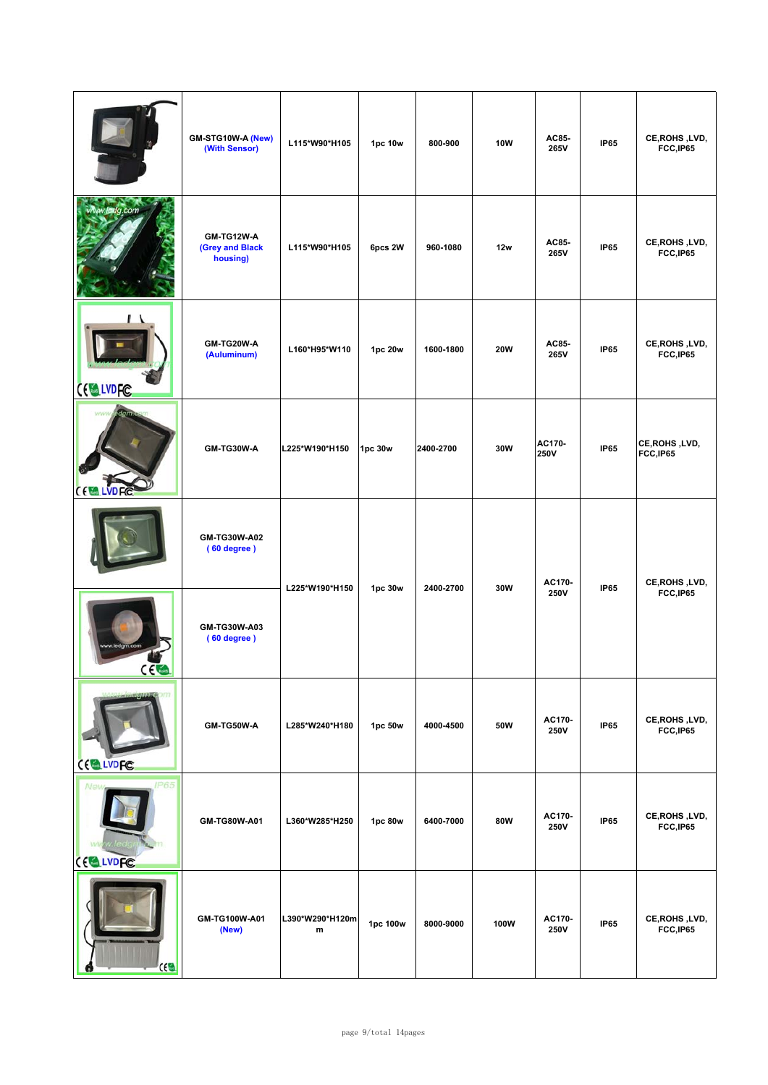|                         | GM-STG10W-A (New)<br>(With Sensor)               | L115*W90*H105                | 1pc 10w  | 800-900   | 10W        | AC85-<br>265V  | <b>IP65</b> | CE, ROHS, LVD,<br>FCC, IP65 |
|-------------------------|--------------------------------------------------|------------------------------|----------|-----------|------------|----------------|-------------|-----------------------------|
| v.ledg.com              | <b>GM-TG12W-A</b><br>(Grey and Black<br>housing) | L115*W90*H105                | 6pcs 2W  | 960-1080  | 12w        | AC85-<br>265V  | <b>IP65</b> | CE, ROHS, LVD,<br>FCC,IP65  |
| <b>CELLVDFC</b>         | GM-TG20W-A<br>(Auluminum)                        | L160*H95*W110                | 1pc 20w  | 1600-1800 | <b>20W</b> | AC85-<br>265V  | <b>IP65</b> | CE, ROHS, LVD,<br>FCC, IP65 |
| CE.<br><b>LVDFC</b>     | GM-TG30W-A                                       | L225*W190*H150               | 1pc 30w  | 2400-2700 | 30W        | AC170-<br>250V | <b>IP65</b> | CE, ROHS, LVD,<br>FCC,IP65  |
|                         | GM-TG30W-A02<br>(60 degree)                      | L225*W190*H150               | 1pc 30w  | 2400-2700 | 30W        | AC170-         | <b>IP65</b> | CE, ROHS, LVD,              |
| $\sim$ $\sim$ $\sim$    | GM-TG30W-A03<br>(60 degree)                      |                              |          |           |            | 250V           |             | FCC, IP65                   |
| חז<br>CE LVDFC          | GM-TG50W-A                                       | L285*W240*H180               | 1pc 50w  | 4000-4500 | 50W        | AC170-<br>250V | <b>IP65</b> | CE, ROHS, LVD,<br>FCC, IP65 |
| <b>IP65</b><br>CELLVDFC | GM-TG80W-A01                                     | L360*W285*H250               | 1pc 80w  | 6400-7000 | 80W        | AC170-<br>250V | <b>IP65</b> | CE, ROHS, LVD,<br>FCC,IP65  |
| ce                      | GM-TG100W-A01<br>(New)                           | L390*W290*H120m<br>${\bf m}$ | 1pc 100w | 8000-9000 | 100W       | AC170-<br>250V | <b>IP65</b> | CE, ROHS, LVD,<br>FCC,IP65  |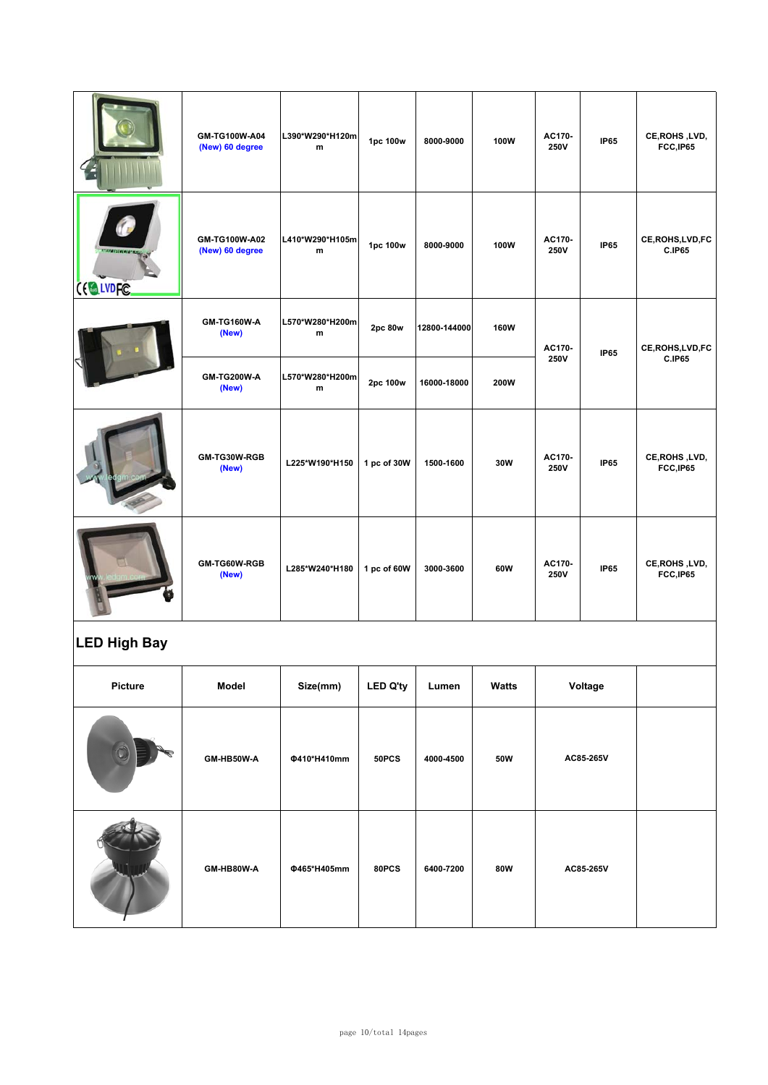|          | GM-TG100W-A04<br>(New) 60 degree | L390*W290*H120m<br>${\bf m}$ | 1pc 100w    | 8000-9000    | 100W        | AC170-<br><b>250V</b> | <b>IP65</b> | CE, ROHS, LVD,<br>FCC,IP65         |
|----------|----------------------------------|------------------------------|-------------|--------------|-------------|-----------------------|-------------|------------------------------------|
| CE LVDFC | GM-TG100W-A02<br>(New) 60 degree | L410*W290*H105m<br>m         | 1pc 100w    | 8000-9000    | 100W        | AC170-<br>250V        | <b>IP65</b> | CE, ROHS, LVD, FC<br><b>C.IP65</b> |
|          | GM-TG160W-A<br>(New)             | L570*W280*H200m<br>m         | 2pc 80w     | 12800-144000 | <b>160W</b> | AC170-                | <b>IP65</b> | CE, ROHS, LVD, FC<br><b>C.IP65</b> |
|          | <b>GM-TG200W-A</b><br>(New)      | L570*W280*H200m<br>m         | 2pc 100w    | 16000-18000  | 200W        | 250V                  |             |                                    |
|          | GM-TG30W-RGB<br>(New)            | L225*W190*H150               | 1 pc of 30W | 1500-1600    | 30W         | AC170-<br><b>250V</b> | <b>IP65</b> | CE, ROHS, LVD,<br>FCC, IP65        |
|          | GM-TG60W-RGB<br>(New)            | L285*W240*H180               | 1 pc of 60W | 3000-3600    | 60W         | AC170-<br>250V        | <b>IP65</b> | CE, ROHS, LVD,<br>FCC,IP65         |

## **LED High Bay**

| Picture | Model      | Size(mm)    | <b>LED Q'ty</b> | Lumen     | Watts | Voltage   |  |
|---------|------------|-------------|-----------------|-----------|-------|-----------|--|
|         | GM-HB50W-A | Φ410*H410mm | 50PCS           | 4000-4500 | 50W   | AC85-265V |  |
|         | GM-HB80W-A | Φ465*H405mm | 80PCS           | 6400-7200 | 80W   | AC85-265V |  |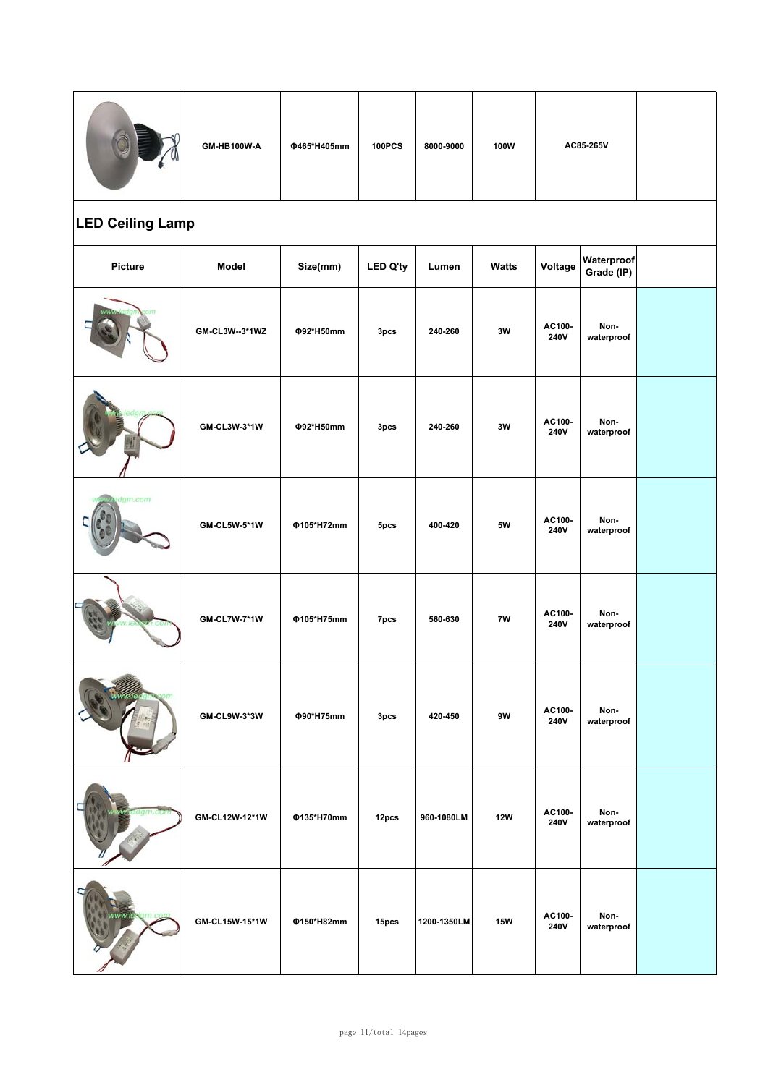|                         | GM-HB100W-A         | Φ465*H405mm | <b>100PCS</b>    | 8000-9000   | 100W          | AC85-265V      |                          |  |  |  |
|-------------------------|---------------------|-------------|------------------|-------------|---------------|----------------|--------------------------|--|--|--|
| <b>LED Ceiling Lamp</b> |                     |             |                  |             |               |                |                          |  |  |  |
| Picture                 | Model               | Size(mm)    | <b>LED Q'ty</b>  | Lumen       | <b>Watts</b>  | Voltage        | Waterproof<br>Grade (IP) |  |  |  |
|                         | GM-CL3W--3*1WZ      | Φ92*H50mm   | 3pcs             | 240-260     | 3W            | AC100-<br>240V | Non-<br>waterproof       |  |  |  |
|                         | GM-CL3W-3*1W        | Φ92*H50mm   | 3 <sub>pcs</sub> | 240-260     | 3W            | AC100-<br>240V | Non-<br>waterproof       |  |  |  |
| gm.com                  | <b>GM-CL5W-5*1W</b> | Φ105*H72mm  | 5pcs             | 400-420     | <b>5W</b>     | AC100-<br>240V | Non-<br>waterproof       |  |  |  |
|                         | <b>GM-CL7W-7*1W</b> | Φ105*H75mm  | 7pcs             | 560-630     | 7W            | AC100-<br>240V | Non-<br>waterproof       |  |  |  |
|                         | GM-CL9W-3*3W        | Φ90*H75mm   | 3pcs             | 420-450     | $9\mathrm{W}$ | AC100-<br>240V | Non-<br>waterproof       |  |  |  |
|                         | GM-CL12W-12*1W      | Φ135*H70mm  | 12pcs            | 960-1080LM  | <b>12W</b>    | AC100-<br>240V | Non-<br>waterproof       |  |  |  |
|                         | GM-CL15W-15*1W      | Φ150*H82mm  | 15pcs            | 1200-1350LM | <b>15W</b>    | AC100-<br>240V | Non-<br>waterproof       |  |  |  |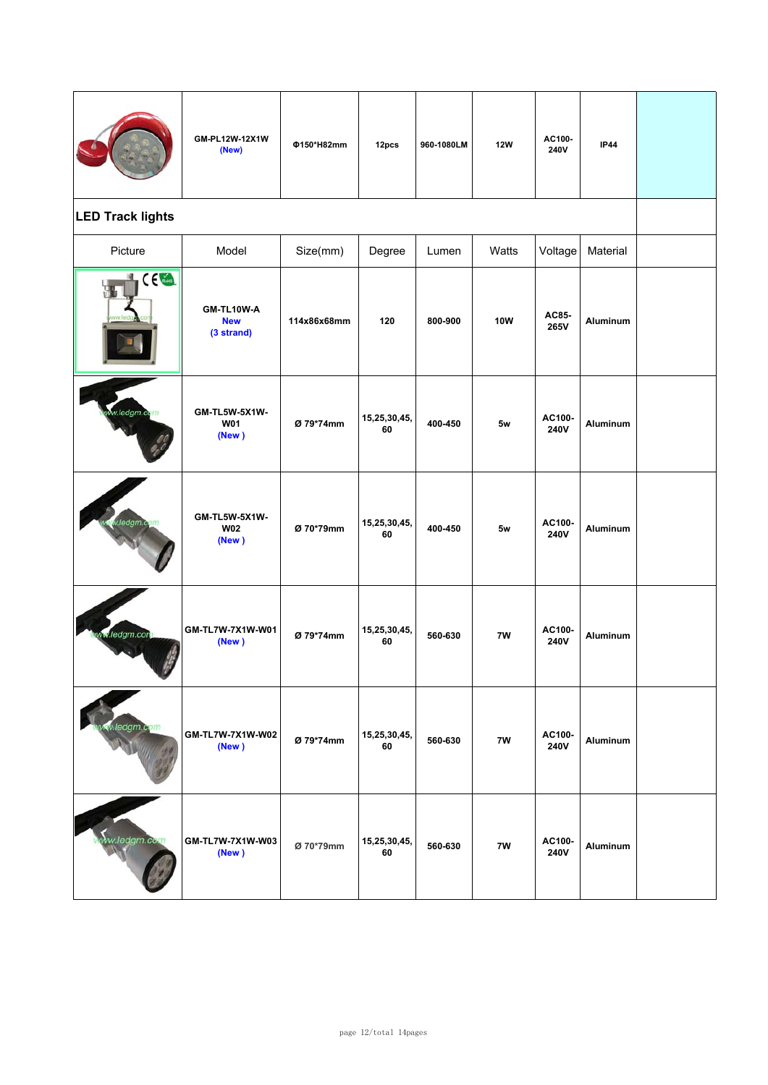|                         | GM-PL12W-12X1W<br>(New)                | Φ150*H82mm  | 12pcs              | 960-1080LM | <b>12W</b> | AC100-<br>240V | <b>IP44</b>     |  |
|-------------------------|----------------------------------------|-------------|--------------------|------------|------------|----------------|-----------------|--|
| <b>LED Track lights</b> |                                        |             |                    |            |            |                |                 |  |
| Picture                 | Model                                  | Size(mm)    | Degree             | Lumen      | Watts      | Voltage        | Material        |  |
| CE Contract             | GM-TL10W-A<br><b>New</b><br>(3 strand) | 114x86x68mm | 120                | 800-900    | <b>10W</b> | AC85-<br>265V  | <b>Aluminum</b> |  |
| w.ledgm.com             | GM-TL5W-5X1W-<br><b>W01</b><br>(New)   | Ø 79*74mm   | 15,25,30,45,<br>60 | 400-450    | 5w         | AC100-<br>240V | <b>Aluminum</b> |  |
| ledgm.c                 | GM-TL5W-5X1W-<br><b>W02</b><br>(New)   | Ø 70*79mm   | 15,25,30,45,<br>60 | 400-450    | 5w         | AC100-<br>240V | <b>Aluminum</b> |  |
| <b>M.ledgm.con</b>      | GM-TL7W-7X1W-W01<br>(New)              | Ø 79*74mm   | 15,25,30,45,<br>60 | 560-630    | 7W         | AC100-<br>240V | Aluminum        |  |
| v.ledgm.com             | GM-TL7W-7X1W-W02<br>(New)              | Ø 79*74mm   | 15,25,30,45,<br>60 | 560-630    | 7W         | AC100-<br>240V | <b>Aluminum</b> |  |
| ww.ledgm.co             | GM-TL7W-7X1W-W03<br>(New)              | Ø 70*79mm   | 15,25,30,45,<br>60 | 560-630    | 7W         | AC100-<br>240V | Aluminum        |  |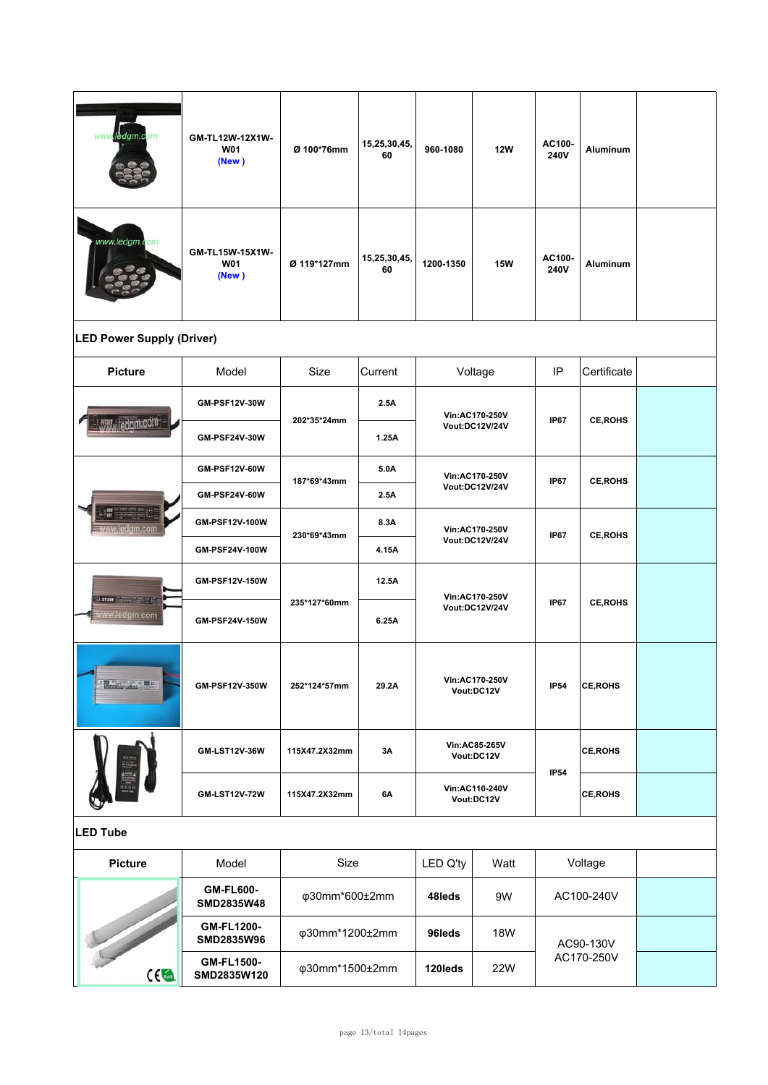| ledgm.com                                                                                                                                                                                                                                                                                                                                                                                                                                                                                    | GM-TL12W-12X1W-<br><b>W01</b><br>(New) | Ø 100*76mm     | 15,25,30,45,<br>60 | 960-1080                         | <b>12W</b>                                 | AC100-<br>240V | <b>Aluminum</b> |  |
|----------------------------------------------------------------------------------------------------------------------------------------------------------------------------------------------------------------------------------------------------------------------------------------------------------------------------------------------------------------------------------------------------------------------------------------------------------------------------------------------|----------------------------------------|----------------|--------------------|----------------------------------|--------------------------------------------|----------------|-----------------|--|
| www.ledgm.c                                                                                                                                                                                                                                                                                                                                                                                                                                                                                  | GM-TL15W-15X1W-<br>W01<br>(New)        | Ø 119*127mm    | 15,25,30,45,<br>60 | 1200-1350                        | <b>15W</b>                                 | AC100-<br>240V | <b>Aluminum</b> |  |
| <b>LED Power Supply (Driver)</b>                                                                                                                                                                                                                                                                                                                                                                                                                                                             |                                        |                |                    |                                  |                                            |                |                 |  |
| <b>Picture</b>                                                                                                                                                                                                                                                                                                                                                                                                                                                                               | Model                                  | Size           | Current            |                                  | Voltage                                    | IP             | Certificate     |  |
|                                                                                                                                                                                                                                                                                                                                                                                                                                                                                              | <b>GM-PSF12V-30W</b>                   |                | 2.5A               | Vin:AC170-250V<br>Vout:DC12V/24V |                                            | <b>IP67</b>    | <b>CE, ROHS</b> |  |
| <b>MW<sub>y</sub></b> ledgm.com                                                                                                                                                                                                                                                                                                                                                                                                                                                              | <b>GM-PSF24V-30W</b>                   | 202*35*24mm    | 1.25A              |                                  |                                            |                |                 |  |
|                                                                                                                                                                                                                                                                                                                                                                                                                                                                                              | <b>GM-PSF12V-60W</b>                   | 187*69*43mm    | 5.0A               | Vin:AC170-250V<br>Vout:DC12V/24V |                                            | <b>IP67</b>    | <b>CE, ROHS</b> |  |
| 謂<br><u>ww.ledgm.com</u>                                                                                                                                                                                                                                                                                                                                                                                                                                                                     | GM-PSF24V-60W                          |                | 2.5A               |                                  |                                            |                |                 |  |
|                                                                                                                                                                                                                                                                                                                                                                                                                                                                                              | GM-PSF12V-100W                         | 230*69*43mm    | 8.3A               | Vin:AC170-250V<br>Vout:DC12V/24V |                                            | <b>IP67</b>    | <b>CE, ROHS</b> |  |
|                                                                                                                                                                                                                                                                                                                                                                                                                                                                                              | GM-PSF24V-100W                         |                | 4.15A              |                                  |                                            |                |                 |  |
|                                                                                                                                                                                                                                                                                                                                                                                                                                                                                              | GM-PSF12V-150W                         |                | 12.5A              | Vin:AC170-250V<br>Vout:DC12V/24V |                                            | <b>IP67</b>    |                 |  |
| Sturmer Committee of B<br>ww.ledgm.com                                                                                                                                                                                                                                                                                                                                                                                                                                                       | GM-PSF24V-150W                         | 235*127*60mm   | 6.25A              |                                  |                                            |                | <b>CE, ROHS</b> |  |
| $\frac{1}{\sqrt{2}}\frac{1}{\sqrt{2}}\frac{\partial^2}{\partial x^2}+\frac{1}{\sqrt{2}}\frac{\partial^2}{\partial x^2}+\frac{1}{\sqrt{2}}\frac{\partial^2}{\partial x^2}+\frac{1}{\sqrt{2}}\frac{\partial^2}{\partial x^2}+\frac{1}{\sqrt{2}}\frac{\partial^2}{\partial x^2}+\frac{1}{\sqrt{2}}\frac{\partial^2}{\partial x^2}+\frac{1}{\sqrt{2}}\frac{\partial^2}{\partial x^2}+\frac{1}{\sqrt{2}}\frac{\partial^2}{\partial x^2}+\frac{1}{\sqrt{2}}\frac{\partial^2}{\partial x^2}+\frac{$ | GM-PSF12V-350W                         | 252*124*57mm   | 29.2A              | Vin:AC170-250V<br>Vout:DC12V     |                                            | <b>IP54</b>    | <b>CE, ROHS</b> |  |
|                                                                                                                                                                                                                                                                                                                                                                                                                                                                                              | GM-LST12V-36W                          | 115X47.2X32mm  | 3Α                 |                                  | Vin:AC85-265V<br>Vout:DC12V<br><b>IP54</b> |                | <b>CE, ROHS</b> |  |
|                                                                                                                                                                                                                                                                                                                                                                                                                                                                                              | <b>GM-LST12V-72W</b>                   | 115X47.2X32mm  | 6A                 | Vin:AC110-240V<br>Vout:DC12V     |                                            |                | <b>CE, ROHS</b> |  |
| <b>LED Tube</b>                                                                                                                                                                                                                                                                                                                                                                                                                                                                              |                                        |                |                    |                                  |                                            |                |                 |  |
| <b>Picture</b>                                                                                                                                                                                                                                                                                                                                                                                                                                                                               | Model                                  | Size           |                    | LED Q'ty                         | Watt                                       | Voltage        |                 |  |
| ce                                                                                                                                                                                                                                                                                                                                                                                                                                                                                           | <b>GM-FL600-</b><br>SMD2835W48         | φ30mm*600±2mm  |                    | 48leds                           | 9W                                         | AC100-240V     |                 |  |
|                                                                                                                                                                                                                                                                                                                                                                                                                                                                                              | GM-FL1200-<br>SMD2835W96               | φ30mm*1200±2mm |                    | 96leds                           | 18W                                        |                | AC90-130V       |  |
|                                                                                                                                                                                                                                                                                                                                                                                                                                                                                              | <b>GM-FL1500-</b><br>SMD2835W120       | φ30mm*1500±2mm |                    | 120leds                          | AC170-250V<br>22W                          |                |                 |  |